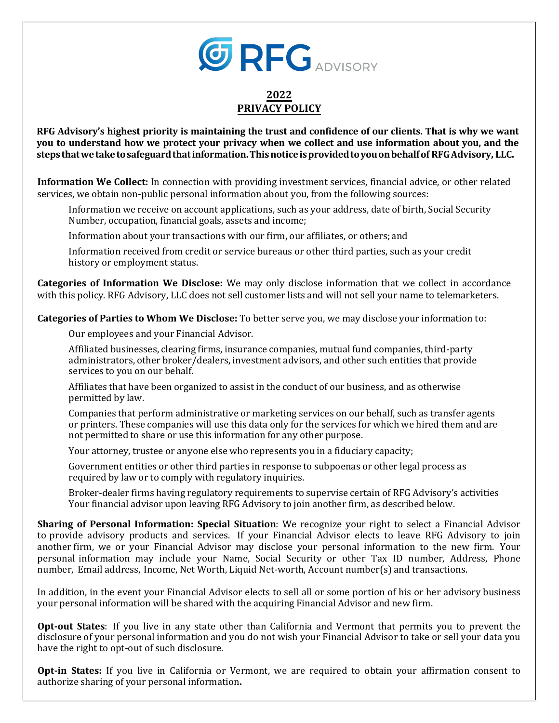

## **2022 PRIVACY POLICY**

**RFG Advisory's highest priority is maintaining the trust and confidence of our clients. That is why we want**  you to understand how we protect your privacy when we collect and use information about you, and the **stepsthatwetaketosafeguardthatinformation.Thisnoticeisprovidedtoyouonbehalfof RFGAdvisory, LLC.**

**Information We Collect:** In connection with providing investment services, financial advice, or other related services, we obtain non-public personal information about you, from the following sources:

Information we receive on account applications, such as your address, date of birth, Social Security Number, occupation, financial goals, assets and income;

Information about your transactions with our firm, our affiliates, or others; and

Information received from credit or service bureaus or other third parties, such as your credit history or employment status.

**Categories of Information We Disclose:** We may only disclose information that we collect in accordance with this policy. RFG Advisory, LLC does not sell customer lists and will not sell your name to telemarketers.

**Categories of Parties to Whom We Disclose:** To better serve you, we may disclose your information to:

Our employees and your Financial Advisor.

Affiliated businesses, clearing firms, insurance companies, mutual fund companies, third-party administrators, other broker/dealers, investment advisors, and other such entities that provide services to you on our behalf.

Affiliates that have been organized to assist in the conduct of our business, and as otherwise permitted by law.

Companies that perform administrative or marketing services on our behalf, such as transfer agents or printers. These companies will use this data only for the services for which we hired them and are not permitted to share or use this information for any other purpose.

Your attorney, trustee or anyone else who represents you in a fiduciary capacity;

Government entities or other third parties in response to subpoenas or other legal process as required by law or to comply with regulatory inquiries.

Broker-dealer firms having regulatory requirements to supervise certain of RFG Advisory's activities Your financial advisor upon leaving RFG Advisory to join another firm, as described below.

**Sharing of Personal Information: Special Situation**: We recognize your right to select a Financial Advisor to provide advisory products and services. If your Financial Advisor elects to leave RFG Advisory to join another firm, we or your Financial Advisor may disclose your personal information to the new firm. Your personal information may include your Name, Social Security or other Tax ID number, Address, Phone number, Email address, Income, Net Worth, Liquid Net-worth, Account number(s) and transactions.

In addition, in the event your Financial Advisor elects to sell all or some portion of his or her advisory business your personal information will be shared with the acquiring Financial Advisor and new firm.

**Opt-out States**: If you live in any state other than California and Vermont that permits you to prevent the disclosure of your personal information and you do not wish your Financial Advisor to take or sell your data you have the right to opt-out of such disclosure.

**Opt-in States:** If you live in California or Vermont, we are required to obtain your affirmation consent to authorize sharing of your personal information**.**